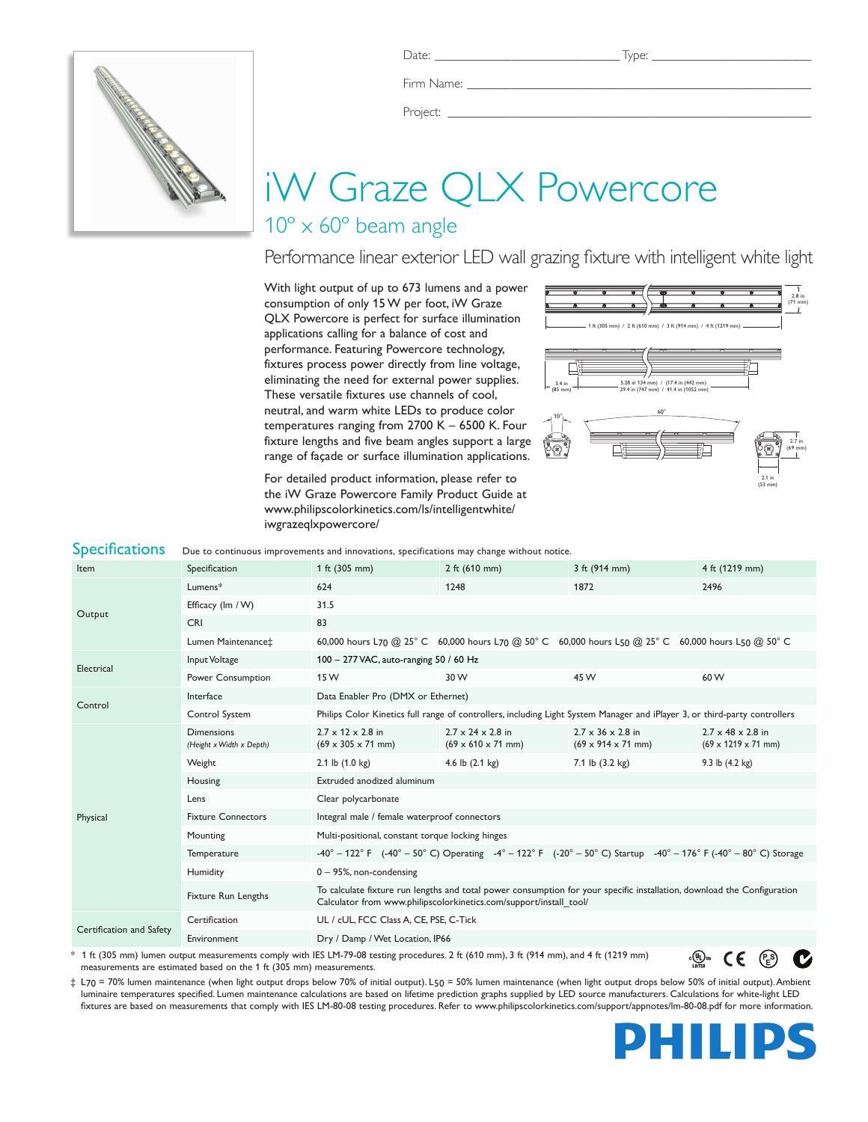

Firm Name:

Project: \_

# iW Graze QLX Powercore

## $10^{\circ} \times 60^{\circ}$  beam angle

Performance linear exterior LED wall grazing fixture with intelligent white light

With light output of up to 673 lumens and a power consumption of only 15 W per foot, iW Graze QLX Powercore is perfect for surface illumination applications calling for a balance of cost and performance. Featuring Powercore technology, fixtures process power directly from line voltage, eliminating the need for external power supplies. These versatile fixtures use channels of cool, neutral, and warm white LEDs to produce color temperatures ranging from 2700 K – 6500 K. Four fixture lengths and five beam angles support a large range of façade or surface illumination applications.

For detailed product information, please refer to the iW Graze Powercore Family Product Guide at www.philipscolorkinetics.com/ls/intelligentwhite/ iwgrazeqlxpowercore/



| <b>Specifications</b>    | Due to continuous improvements and innovations, specifications may change without notice.                                                                                                                                                                                                                                                                                                                                                                                     |                                                                                                                                                                                               |                                                                         |                                                                                                                 |                                                                  |  |
|--------------------------|-------------------------------------------------------------------------------------------------------------------------------------------------------------------------------------------------------------------------------------------------------------------------------------------------------------------------------------------------------------------------------------------------------------------------------------------------------------------------------|-----------------------------------------------------------------------------------------------------------------------------------------------------------------------------------------------|-------------------------------------------------------------------------|-----------------------------------------------------------------------------------------------------------------|------------------------------------------------------------------|--|
| Item                     | Specification                                                                                                                                                                                                                                                                                                                                                                                                                                                                 | 1 ft (305 mm)                                                                                                                                                                                 | 2 ft $(610$ mm)                                                         | 3 ft (914 mm)                                                                                                   | 4 ft (1219 mm)                                                   |  |
| Output                   | Lumens*                                                                                                                                                                                                                                                                                                                                                                                                                                                                       | 624                                                                                                                                                                                           | 1248                                                                    | 1872                                                                                                            | 2496                                                             |  |
|                          | Efficacy (Im / W)                                                                                                                                                                                                                                                                                                                                                                                                                                                             | 31.5                                                                                                                                                                                          |                                                                         |                                                                                                                 |                                                                  |  |
|                          | <b>CRI</b>                                                                                                                                                                                                                                                                                                                                                                                                                                                                    | 83                                                                                                                                                                                            |                                                                         |                                                                                                                 |                                                                  |  |
|                          | Lumen Maintenance‡                                                                                                                                                                                                                                                                                                                                                                                                                                                            |                                                                                                                                                                                               |                                                                         | 60,000 hours L70 @ 25° C 60,000 hours L70 @ 50° C 60,000 hours L50 @ 25° C 60,000 hours L50 @ 50° C             |                                                                  |  |
| Electrical               | Input Voltage                                                                                                                                                                                                                                                                                                                                                                                                                                                                 | 100 - 277 VAC, auto-ranging 50 / 60 Hz                                                                                                                                                        |                                                                         |                                                                                                                 |                                                                  |  |
|                          | Power Consumption                                                                                                                                                                                                                                                                                                                                                                                                                                                             | 15 W                                                                                                                                                                                          | 30 W                                                                    | 45 W                                                                                                            | 60 W                                                             |  |
| Control                  | Interface                                                                                                                                                                                                                                                                                                                                                                                                                                                                     | Data Enabler Pro (DMX or Ethernet)                                                                                                                                                            |                                                                         |                                                                                                                 |                                                                  |  |
|                          | Control System                                                                                                                                                                                                                                                                                                                                                                                                                                                                | Philips Color Kinetics full range of controllers, including Light System Manager and iPlayer 3, or third-party controllers                                                                    |                                                                         |                                                                                                                 |                                                                  |  |
|                          | <b>Dimensions</b><br>(Height x Width x Depth)                                                                                                                                                                                                                                                                                                                                                                                                                                 | $2.7 \times 12 \times 2.8$ in<br>$(69 \times 305 \times 71 \text{ mm})$                                                                                                                       | $2.7 \times 24 \times 2.8$ in<br>$(69 \times 610 \times 71 \text{ mm})$ | $2.7 \times 36 \times 2.8$ in<br>$(69 \times 914 \times 71 \text{ mm})$                                         | $2.7 \times 48 \times 2.8$ in<br>$(69 \times 1219 \times 71$ mm) |  |
|                          | Weight                                                                                                                                                                                                                                                                                                                                                                                                                                                                        | 2.1 lb $(1.0 \text{ kg})$                                                                                                                                                                     | 4.6 lb $(2.1 \text{ kg})$                                               | 7.1 lb (3.2 kg)                                                                                                 | 9.3 lb $(4.2 \text{ kg})$                                        |  |
|                          | Housing                                                                                                                                                                                                                                                                                                                                                                                                                                                                       | Extruded anodized aluminum                                                                                                                                                                    |                                                                         |                                                                                                                 |                                                                  |  |
|                          | Lens                                                                                                                                                                                                                                                                                                                                                                                                                                                                          | Clear polycarbonate                                                                                                                                                                           |                                                                         |                                                                                                                 |                                                                  |  |
| Physical                 | <b>Fixture Connectors</b>                                                                                                                                                                                                                                                                                                                                                                                                                                                     | Integral male / female waterproof connectors                                                                                                                                                  |                                                                         |                                                                                                                 |                                                                  |  |
|                          | Mounting                                                                                                                                                                                                                                                                                                                                                                                                                                                                      | Multi-positional, constant torque locking hinges                                                                                                                                              |                                                                         |                                                                                                                 |                                                                  |  |
|                          | Temperature                                                                                                                                                                                                                                                                                                                                                                                                                                                                   |                                                                                                                                                                                               |                                                                         | -40° - 122° F (-40° - 50° C) Operating -4° - 122° F (-20° - 50° C) Startup -40° - 176° F (-40° - 80° C) Storage |                                                                  |  |
|                          | Humidity                                                                                                                                                                                                                                                                                                                                                                                                                                                                      | $0 - 95$ %, non-condensing                                                                                                                                                                    |                                                                         |                                                                                                                 |                                                                  |  |
|                          | Fixture Run Lengths                                                                                                                                                                                                                                                                                                                                                                                                                                                           | To calculate fixture run lengths and total power consumption for your specific installation, download the Configuration<br>Calculator from www.philipscolorkinetics.com/support/install_tool/ |                                                                         |                                                                                                                 |                                                                  |  |
| Certification and Safety | Certification                                                                                                                                                                                                                                                                                                                                                                                                                                                                 | UL / cUL, FCC Class A, CE, PSE, C-Tick                                                                                                                                                        |                                                                         |                                                                                                                 |                                                                  |  |
|                          | Environment                                                                                                                                                                                                                                                                                                                                                                                                                                                                   | Dry / Damp / Wet Location, IP66                                                                                                                                                               |                                                                         |                                                                                                                 |                                                                  |  |
|                          | * 1 ft (305 mm) lumen output measurements comply with IES LM-79-08 testing procedures. 2 ft (610 mm), 3 ft (914 mm), and 4 ft (1219 mm)<br>$\mathbf{1}$ $\mathbf{1}$ $\mathbf{1}$ $\mathbf{1}$ $\mathbf{1}$ $\mathbf{1}$ $\mathbf{1}$ $\mathbf{1}$ $\mathbf{1}$ $\mathbf{1}$ $\mathbf{1}$ $\mathbf{1}$ $\mathbf{1}$ $\mathbf{1}$ $\mathbf{1}$ $\mathbf{1}$ $\mathbf{1}$ $\mathbf{1}$ $\mathbf{1}$ $\mathbf{1}$ $\mathbf{1}$ $\mathbf{1}$ $\mathbf{1}$ $\mathbf{1}$ $\mathbf{$ |                                                                                                                                                                                               |                                                                         |                                                                                                                 | <sub>։</sub> @թա<br>CE<br>(ዶs                                    |  |

\* 1 ft (305 mm) lumen output measurements comply with IES LM-79-08 testing procedures. 2 ft (610 mm), 3 ft (914 mm), and 4 ft (1219 mm) measurements are estimated based on the 1 ft (305 mm) measurements.

‡ L70 = 70% lumen maintenance (when light output drops below 70% of initial output). L50 = 50% lumen maintenance (when light output drops below 50% of initial output). Ambient luminaire temperatures specified. Lumen maintenance calculations are based on lifetime prediction graphs supplied by LED source manufacturers. Calculations for white-light LED fixtures are based on measurements that comply with IES LM-80-08 testing procedures. Refer to www.philipscolorkinetics.com/support/appnotes/lm-80-08.pdf for more information.